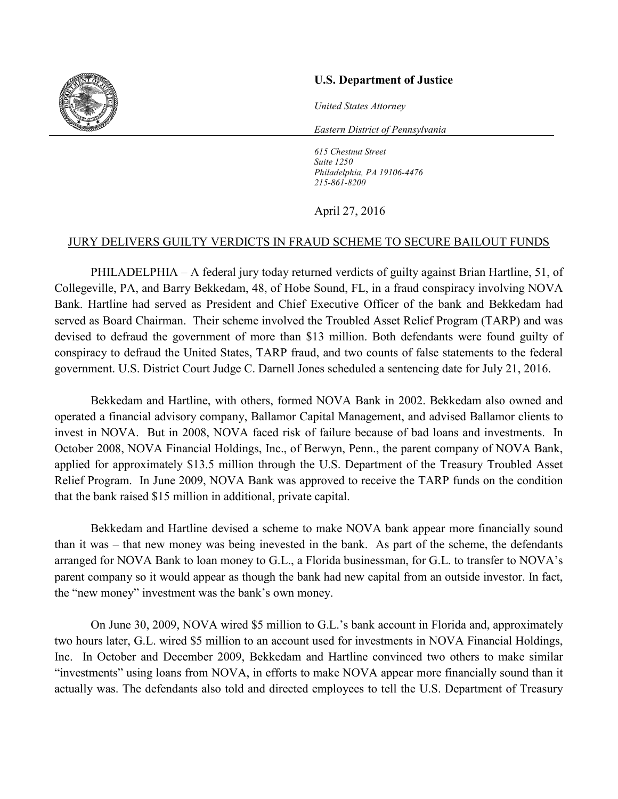

## **U.S. Department of Justice**

*United States Attorney*

*Eastern District of Pennsylvania*

*615 Chestnut Street Suite 1250 Philadelphia, PA 19106-4476 215-861-8200* 

## April 27, 2016

## JURY DELIVERS GUILTY VERDICTS IN FRAUD SCHEME TO SECURE BAILOUT FUNDS

PHILADELPHIA – A federal jury today returned verdicts of guilty against Brian Hartline, 51, of Collegeville, PA, and Barry Bekkedam, 48, of Hobe Sound, FL, in a fraud conspiracy involving NOVA Bank. Hartline had served as President and Chief Executive Officer of the bank and Bekkedam had served as Board Chairman. Their scheme involved the Troubled Asset Relief Program (TARP) and was devised to defraud the government of more than \$13 million. Both defendants were found guilty of conspiracy to defraud the United States, TARP fraud, and two counts of false statements to the federal government. U.S. District Court Judge C. Darnell Jones scheduled a sentencing date for July 21, 2016.

Bekkedam and Hartline, with others, formed NOVA Bank in 2002. Bekkedam also owned and operated a financial advisory company, Ballamor Capital Management, and advised Ballamor clients to invest in NOVA. But in 2008, NOVA faced risk of failure because of bad loans and investments. In October 2008, NOVA Financial Holdings, Inc., of Berwyn, Penn., the parent company of NOVA Bank, applied for approximately \$13.5 million through the U.S. Department of the Treasury Troubled Asset Relief Program. In June 2009, NOVA Bank was approved to receive the TARP funds on the condition that the bank raised \$15 million in additional, private capital.

Bekkedam and Hartline devised a scheme to make NOVA bank appear more financially sound than it was – that new money was being inevested in the bank. As part of the scheme, the defendants arranged for NOVA Bank to loan money to G.L., a Florida businessman, for G.L. to transfer to NOVA's parent company so it would appear as though the bank had new capital from an outside investor. In fact, the "new money" investment was the bank's own money.

On June 30, 2009, NOVA wired \$5 million to G.L.'s bank account in Florida and, approximately two hours later, G.L. wired \$5 million to an account used for investments in NOVA Financial Holdings, Inc. In October and December 2009, Bekkedam and Hartline convinced two others to make similar "investments" using loans from NOVA, in efforts to make NOVA appear more financially sound than it actually was. The defendants also told and directed employees to tell the U.S. Department of Treasury